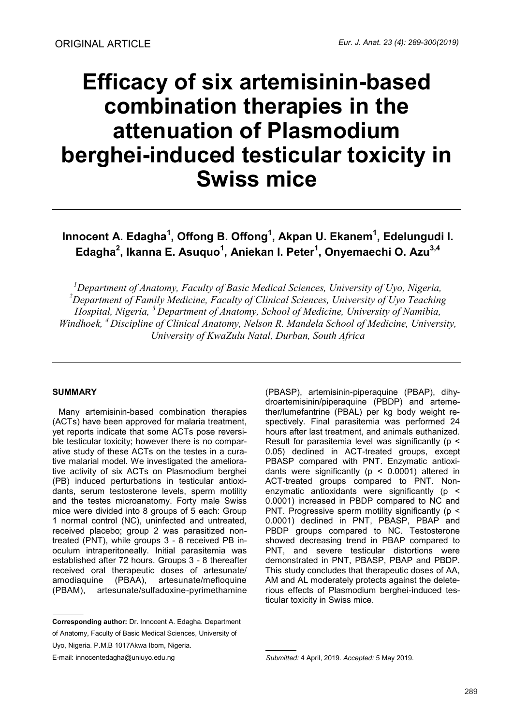# **Efficacy of six artemisinin-based combination therapies in the attenuation of Plasmodium berghei-induced testicular toxicity in Swiss mice**

**Innocent A. Edagha<sup>1</sup> , Offong B. Offong<sup>1</sup> , Akpan U. Ekanem<sup>1</sup> , Edelungudi I. Edagha<sup>2</sup> , Ikanna E. Asuquo<sup>1</sup> , Aniekan I. Peter<sup>1</sup> , Onyemaechi O. Azu3,4**

*<sup>1</sup>Department of Anatomy, Faculty of Basic Medical Sciences, University of Uyo, Nigeria, <sup>2</sup>Department of Family Medicine, Faculty of Clinical Sciences, University of Uyo Teaching Hospital, Nigeria, <sup>3</sup>Department of Anatomy, School of Medicine, University of Namibia, Windhoek, <sup>4</sup>Discipline of Clinical Anatomy, Nelson R. Mandela School of Medicine, University, University of KwaZulu Natal, Durban, South Africa* 

# **SUMMARY**

Many artemisinin-based combination therapies (ACTs) have been approved for malaria treatment, yet reports indicate that some ACTs pose reversible testicular toxicity; however there is no comparative study of these ACTs on the testes in a curative malarial model. We investigated the ameliorative activity of six ACTs on Plasmodium berghei (PB) induced perturbations in testicular antioxidants, serum testosterone levels, sperm motility and the testes microanatomy. Forty male Swiss mice were divided into 8 groups of 5 each: Group 1 normal control (NC), uninfected and untreated, received placebo; group 2 was parasitized nontreated (PNT), while groups 3 - 8 received PB inoculum intraperitoneally. Initial parasitemia was established after 72 hours. Groups 3 - 8 thereafter received oral therapeutic doses of artesunate/ amodiaquine (PBAA), artesunate/mefloquine (PBAM), artesunate/sulfadoxine-pyrimethamine

**Corresponding author:** Dr. Innocent A. Edagha. Department of Anatomy, Faculty of Basic Medical Sciences, University of

Uyo, Nigeria. P.M.B 1017Akwa Ibom, Nigeria.

E-mail: innocentedagha@uniuyo.edu.ng

(PBASP), artemisinin-piperaquine (PBAP), dihydroartemisinin/piperaquine (PBDP) and artemether/lumefantrine (PBAL) per kg body weight respectively. Final parasitemia was performed 24 hours after last treatment, and animals euthanized. Result for parasitemia level was significantly (p < 0.05) declined in ACT-treated groups, except PBASP compared with PNT. Enzymatic antioxidants were significantly ( $p < 0.0001$ ) altered in ACT-treated groups compared to PNT. Nonenzymatic antioxidants were significantly (p < 0.0001) increased in PBDP compared to NC and PNT. Progressive sperm motility significantly (p < 0.0001) declined in PNT, PBASP, PBAP and PBDP groups compared to NC. Testosterone showed decreasing trend in PBAP compared to PNT, and severe testicular distortions were demonstrated in PNT, PBASP, PBAP and PBDP. This study concludes that therapeutic doses of AA, AM and AL moderately protects against the deleterious effects of Plasmodium berghei-induced testicular toxicity in Swiss mice.

*Submitted:* 4 April, 2019. *Accepted:* 5 May 2019.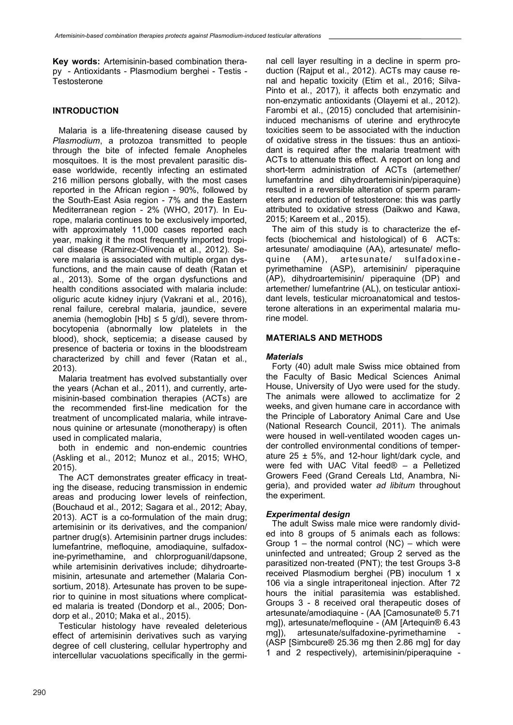**Key words:** Artemisinin-based combination therapy - Antioxidants - Plasmodium berghei - Testis - **Testosterone** 

# **INTRODUCTION**

Malaria is a life-threatening disease caused by *Plasmodium*, a protozoa transmitted to people through the bite of infected female Anopheles mosquitoes. It is the most prevalent parasitic disease worldwide, recently infecting an estimated 216 million persons globally, with the most cases reported in the African region - 90%, followed by the South-East Asia region - 7% and the Eastern Mediterranean region - 2% (WHO, 2017). In Europe, malaria continues to be exclusively imported, with approximately 11,000 cases reported each year, making it the most frequently imported tropical disease (Ramirez-Olivencia et al., 2012). Severe malaria is associated with multiple organ dysfunctions, and the main cause of death (Ratan et al., 2013). Some of the organ dysfunctions and health conditions associated with malaria include: oliguric acute kidney injury (Vakrani et al., 2016), renal failure, cerebral malaria, jaundice, severe anemia (hemoglobin  $[Hb] \leq 5$  g/dl), severe thrombocytopenia (abnormally low platelets in the blood), shock, septicemia; a disease caused by presence of bacteria or toxins in the bloodstream characterized by chill and fever (Ratan et al., 2013).

Malaria treatment has evolved substantially over the years (Achan et al., 2011), and currently, artemisinin-based combination therapies (ACTs) are the recommended first-line medication for the treatment of uncomplicated malaria, while intravenous quinine or artesunate (monotherapy) is often used in complicated malaria,

both in endemic and non-endemic countries (Askling et al., 2012; Munoz et al., 2015; WHO, 2015).

The ACT demonstrates greater efficacy in treating the disease, reducing transmission in endemic areas and producing lower levels of reinfection, (Bouchaud et al., 2012; Sagara et al., 2012; Abay, 2013). ACT is a co-formulation of the main drug; artemisinin or its derivatives, and the companion/ partner drug(s). Artemisinin partner drugs includes: lumefantrine, mefloquine, amodiaquine, sulfadoxine-pyrimethamine, and chlorproguanil/dapsone, while artemisinin derivatives include; dihydroartemisinin, artesunate and artemether (Malaria Consortium, 2018). Artesunate has proven to be superior to quinine in most situations where complicated malaria is treated (Dondorp et al., 2005; Dondorp et al., 2010; Maka et al., 2015).

Testicular histology have revealed deleterious effect of artemisinin derivatives such as varying degree of cell clustering, cellular hypertrophy and intercellular vacuolations specifically in the germinal cell layer resulting in a decline in sperm production (Rajput et al., 2012). ACTs may cause renal and hepatic toxicity (Etim et al., 2016; Silva-Pinto et al., 2017), it affects both enzymatic and non-enzymatic antioxidants (Olayemi et al., 2012). Farombi et al., (2015) concluded that artemisinininduced mechanisms of uterine and erythrocyte toxicities seem to be associated with the induction of oxidative stress in the tissues: thus an antioxidant is required after the malaria treatment with ACTs to attenuate this effect. A report on long and short-term administration of ACTs (artemether/ lumefantrine and dihydroartemisinin/piperaquine) resulted in a reversible alteration of sperm parameters and reduction of testosterone: this was partly attributed to oxidative stress (Daikwo and Kawa, 2015; Kareem et al., 2015).

The aim of this study is to characterize the effects (biochemical and histological) of 6 ACTs: artesunate/ amodiaquine (AA), artesunate/ mefloquine (AM), artesunate/ sulfadoxinepyrimethamine (ASP), artemisinin/ piperaquine (AP), dihydroartemisinin/ piperaquine (DP) and artemether/ lumefantrine (AL), on testicular antioxidant levels, testicular microanatomical and testosterone alterations in an experimental malaria murine model.

# **MATERIALS AND METHODS**

# *Materials*

Forty (40) adult male Swiss mice obtained from the Faculty of Basic Medical Sciences Animal House, University of Uyo were used for the study. The animals were allowed to acclimatize for 2 weeks, and given humane care in accordance with the Principle of Laboratory Animal Care and Use (National Research Council, 2011). The animals were housed in well-ventilated wooden cages under controlled environmental conditions of temperature 25  $\pm$  5%, and 12-hour light/dark cycle, and were fed with UAC Vital feed® – a Pelletized Growers Feed (Grand Cereals Ltd, Anambra, Nigeria), and provided water *ad libitum* throughout the experiment.

# *Experimental design*

The adult Swiss male mice were randomly divided into 8 groups of 5 animals each as follows: Group  $1 -$  the normal control (NC) – which were uninfected and untreated; Group 2 served as the parasitized non-treated (PNT); the test Groups 3-8 received Plasmodium berghei (PB) inoculum 1 x 106 via a single intraperitoneal injection. After 72 hours the initial parasitemia was established. Groups 3 - 8 received oral therapeutic doses of artesunate/amodiaquine - (AA [Camosunate® 5.71 mg]), artesunate/mefloquine - (AM [Artequin® 6.43 mg]), artesunate/sulfadoxine-pyrimethamine (ASP [Simbcure® 25.36 mg then 2.86 mg] for day 1 and 2 respectively), artemisinin/piperaquine -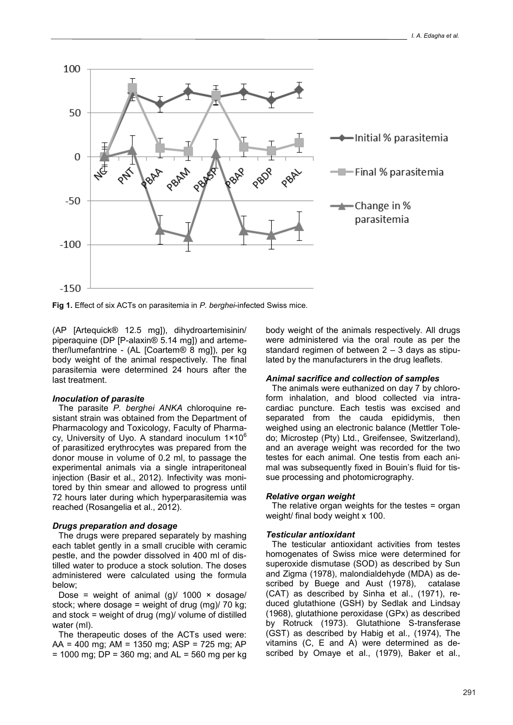

**Fig 1.** Effect of six ACTs on parasitemia in *P. berghei*-infected Swiss mice.

(AP [Artequick® 12.5 mg]), dihydroartemisinin/ piperaquine (DP [P-alaxin® 5.14 mg]) and artemether/lumefantrine - (AL [Coartem® 8 mg]), per kg body weight of the animal respectively. The final parasitemia were determined 24 hours after the last treatment.

## *Inoculation of parasite*

The parasite *P. berghei ANKA* chloroquine resistant strain was obtained from the Department of Pharmacology and Toxicology, Faculty of Pharmacy, University of Uyo. A standard inoculum  $1 \times 10^6$ of parasitized erythrocytes was prepared from the donor mouse in volume of 0.2 ml, to passage the experimental animals via a single intraperitoneal injection (Basir et al., 2012). Infectivity was monitored by thin smear and allowed to progress until 72 hours later during which hyperparasitemia was reached (Rosangelia et al., 2012).

## *Drugs preparation and dosage*

The drugs were prepared separately by mashing each tablet gently in a small crucible with ceramic pestle, and the powder dissolved in 400 ml of distilled water to produce a stock solution. The doses administered were calculated using the formula below;

Dose = weight of animal  $(g)/1000 \times d$ osage/ stock; where dosage = weight of drug (mg)/ 70 kg; and stock = weight of drug (mg)/ volume of distilled water (ml).

The therapeutic doses of the ACTs used were: AA = 400 mg; AM = 1350 mg; ASP = 725 mg; AP  $= 1000$  mg; DP = 360 mg; and AL = 560 mg per kg body weight of the animals respectively. All drugs were administered via the oral route as per the standard regimen of between  $2 - 3$  days as stipulated by the manufacturers in the drug leaflets.

#### *Animal sacrifice and collection of samples*

The animals were euthanized on day 7 by chloroform inhalation, and blood collected via intracardiac puncture. Each testis was excised and separated from the cauda epididymis, then weighed using an electronic balance (Mettler Toledo; Microstep (Pty) Ltd., Greifensee, Switzerland), and an average weight was recorded for the two testes for each animal. One testis from each animal was subsequently fixed in Bouin's fluid for tissue processing and photomicrography.

## *Relative organ weight*

The relative organ weights for the testes = organ weight/ final body weight x 100.

## *Testicular antioxidant*

The testicular antioxidant activities from testes homogenates of Swiss mice were determined for superoxide dismutase (SOD) as described by Sun and Zigma (1978), malondialdehyde (MDA) as described by Buege and Aust (1978), catalase (CAT) as described by Sinha et al., (1971), reduced glutathione (GSH) by Sedlak and Lindsay (1968), glutathione peroxidase (GPx) as described by Rotruck (1973). Glutathione S-transferase (GST) as described by Habig et al., (1974), The vitamins (C, E and A) were determined as described by Omaye et al., (1979), Baker et al.,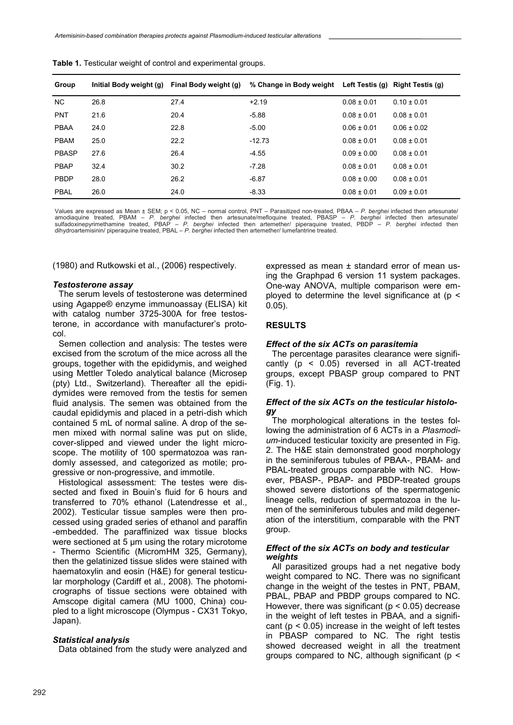| Group        | Initial Body weight (g) | Final Body weight (g) | % Change in Body weight Left Testis (g) Right Testis (g) |                 |                 |
|--------------|-------------------------|-----------------------|----------------------------------------------------------|-----------------|-----------------|
| NC.          | 26.8                    | 27.4                  | $+2.19$                                                  | $0.08 \pm 0.01$ | $0.10 \pm 0.01$ |
| <b>PNT</b>   | 21.6                    | 20.4                  | $-5.88$                                                  | $0.08 \pm 0.01$ | $0.08 \pm 0.01$ |
| <b>PBAA</b>  | 24.0                    | 22.8                  | $-5.00$                                                  | $0.06 \pm 0.01$ | $0.06 \pm 0.02$ |
| <b>PBAM</b>  | 25.0                    | 22.2                  | $-12.73$                                                 | $0.08 \pm 0.01$ | $0.08 \pm 0.01$ |
| <b>PBASP</b> | 27.6                    | 26.4                  | $-4.55$                                                  | $0.09 \pm 0.00$ | $0.08 \pm 0.01$ |
| <b>PBAP</b>  | 32.4                    | 30.2                  | $-7.28$                                                  | $0.08 \pm 0.01$ | $0.08 \pm 0.01$ |
| <b>PBDP</b>  | 28.0                    | 26.2                  | $-6.87$                                                  | $0.08 \pm 0.00$ | $0.08 \pm 0.01$ |
| <b>PBAL</b>  | 26.0                    | 24.0                  | $-8.33$                                                  | $0.08 \pm 0.01$ | $0.09 \pm 0.01$ |

**Table 1.** Testicular weight of control and experimental groups.

Values are expressed as Mean ± SEM; p < 0.05, NC – normal control, PNT – Parasitized non-treated, PBAA – *P. berghei* infected then artesunate/<br>amodiaquine treated, PBAM – *P. berghei* infected then artesunate/mefloquine t dihydroartemisinin/ piperaquine treated, PBAL – *P. berghei* infected then artemether/ lumefantrine treated.

(1980) and Rutkowski et al., (2006) respectively.

#### *Testosterone assay*

The serum levels of testosterone was determined using Agappe® enzyme immunoassay (ELISA) kit with catalog number 3725-300A for free testosterone, in accordance with manufacturer's protocol.

Semen collection and analysis: The testes were excised from the scrotum of the mice across all the groups, together with the epididymis, and weighed using Mettler Toledo analytical balance (Microsep (pty) Ltd., Switzerland). Thereafter all the epididymides were removed from the testis for semen fluid analysis. The semen was obtained from the caudal epididymis and placed in a petri-dish which contained 5 mL of normal saline. A drop of the semen mixed with normal saline was put on slide, cover-slipped and viewed under the light microscope. The motility of 100 spermatozoa was randomly assessed, and categorized as motile; progressive or non-progressive, and immotile.

Histological assessment: The testes were dissected and fixed in Bouin's fluid for 6 hours and transferred to 70% ethanol (Latendresse et al., 2002). Testicular tissue samples were then processed using graded series of ethanol and paraffin -embedded. The paraffinized wax tissue blocks were sectioned at 5 µm using the rotary microtome - Thermo Scientific (MicromHM 325, Germany), then the gelatinized tissue slides were stained with haematoxylin and eosin (H&E) for general testicular morphology (Cardiff et al., 2008). The photomicrographs of tissue sections were obtained with Amscope digital camera (MU 1000, China) coupled to a light microscope (Olympus - CX31 Tokyo, Japan).

#### *Statistical analysis*

Data obtained from the study were analyzed and

expressed as mean ± standard error of mean using the Graphpad 6 version 11 system packages. One-way ANOVA, multiple comparison were employed to determine the level significance at  $(p \leq$ 0.05).

## **RESULTS**

#### *Effect of the six ACTs on parasitemia*

The percentage parasites clearance were significantly (p < 0.05) reversed in all ACT-treated groups, except PBASP group compared to PNT (Fig. 1).

## *Effect of the six ACTs on the testicular histology*

The morphological alterations in the testes following the administration of 6 ACTs in a *Plasmodium*-induced testicular toxicity are presented in Fig. 2. The H&E stain demonstrated good morphology in the seminiferous tubules of PBAA-, PBAM- and PBAL-treated groups comparable with NC. However, PBASP-, PBAP- and PBDP-treated groups showed severe distortions of the spermatogenic lineage cells, reduction of spermatozoa in the lumen of the seminiferous tubules and mild degeneration of the interstitium, comparable with the PNT group.

## *Effect of the six ACTs on body and testicular weights*

All parasitized groups had a net negative body weight compared to NC. There was no significant change in the weight of the testes in PNT, PBAM, PBAL, PBAP and PBDP groups compared to NC. However, there was significant ( $p < 0.05$ ) decrease in the weight of left testes in PBAA, and a significant ( $p < 0.05$ ) increase in the weight of left testes in PBASP compared to NC. The right testis showed decreased weight in all the treatment groups compared to NC, although significant ( $p <$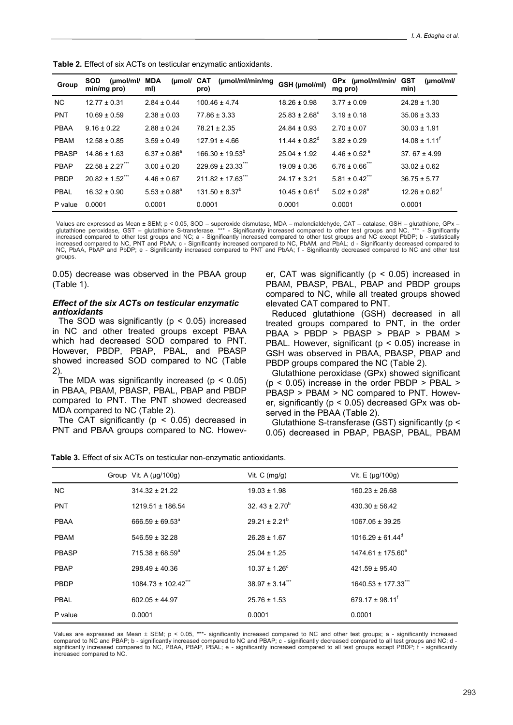| Group        | <b>SOD</b><br>$(\mu \text{mol/ml})$<br>min/mg pro) | (µmol/<br>MDA<br>mI) | (µmol/ml/min/mg<br>CAT<br>pro)    | GSH (µmol/ml)                 | GPx (µmol/ml/min/<br>mg pro)  | <b>GST</b><br>$(\mu \text{mol/mI})$<br>min) |
|--------------|----------------------------------------------------|----------------------|-----------------------------------|-------------------------------|-------------------------------|---------------------------------------------|
| <b>NC</b>    | $12.77 \pm 0.31$                                   | $2.84 \pm 0.44$      | $100.46 \pm 4.74$                 | $18.26 \pm 0.98$              | $3.77 \pm 0.09$               | $24.28 \pm 1.30$                            |
| <b>PNT</b>   | $10.69 \pm 0.59$                                   | $2.38 \pm 0.03$      | $77.86 \pm 3.33$                  | $25.83 \pm 2.68^{\circ}$      | $3.19 \pm 0.18$               | $35.06 \pm 3.33$                            |
| <b>PBAA</b>  | $9.16 \pm 0.22$                                    | $2.88 \pm 0.24$      | $78.21 \pm 2.35$                  | $24.84 \pm 0.93$              | $2.70 \pm 0.07$               | $30.03 \pm 1.91$                            |
| <b>PBAM</b>  | $12.58 \pm 0.85$                                   | $3.59 \pm 0.49$      | $127.91 \pm 4.66$                 | $11.44 \pm 0.82$ <sup>d</sup> | $3.82 \pm 0.29$               | $14.08 \pm 1.11$ <sup>t</sup>               |
| <b>PBASP</b> | $14.86 \pm 1.63$                                   | $6.37 \pm 0.86^a$    | $166.30 \pm 19.53^b$              | $25.04 \pm 1.92$              | $4.46 \pm 0.52$ <sup>e</sup>  | 37.67 $\pm$ 4.99                            |
| <b>PBAP</b>  | $22.58 \pm 2.27$                                   | $3.00 \pm 0.20$      | $229.69 \pm 23.33$ <sup>***</sup> | $19.09 \pm 0.36$              | $6.76 \pm 0.66$ <sup>**</sup> | $33.02 \pm 0.62$                            |
| PBDP         | $20.82 \pm 1.52$ <sup>***</sup>                    | $4.46 \pm 0.67$      | $211.82 \pm 17.63$ <sup>***</sup> | $24.17 \pm 3.21$              | $5.81 \pm 0.42$ ***           | $36.75 \pm 5.77$                            |
| <b>PBAL</b>  | $16.32 \pm 0.90$                                   | $5.53 \pm 0.88^a$    | $131.50 \pm 8.37^b$               | $10.45 \pm 0.61$ <sup>d</sup> | $5.02 \pm 0.28^e$             | $12.26 \pm 0.62^{\text{f}}$                 |
| P value      | 0.0001                                             | 0.0001               | 0.0001                            | 0.0001                        | 0.0001                        | 0.0001                                      |

**Table 2.** Effect of six ACTs on testicular enzymatic antioxidants.

Values are expressed as Mean ± SEM; p < 0.05, SOD – superoxide dismutase, MDA – malondialdehyde, CAT – catalase, GSH – glutathione, GPx –<br>glutathione peroxidase, GST – glutathione S-transferase, \*\*\* - Significantly increas increased compared to other test groups and NC; a - Significantly increased compared to other test groups and NC except PbDP; b - statistically increased compared to NC, PNT and PbAA; c - Significantly increased compared to NC, PbAM, and PbAL; d - Significantly decreased compared to NC, PbAA, PbAP and PbDP; e - Significantly increased compared to PNT and PbAA; f - Significantly decreased compared to NC and other test groups.

0.05) decrease was observed in the PBAA group (Table 1).

## *Effect of the six ACTs on testicular enzymatic antioxidants*

The SOD was significantly ( $p < 0.05$ ) increased in NC and other treated groups except PBAA which had decreased SOD compared to PNT. However, PBDP, PBAP, PBAL, and PBASP showed increased SOD compared to NC (Table 2).

The MDA was significantly increased ( $p < 0.05$ ) in PBAA, PBAM, PBASP, PBAL, PBAP and PBDP compared to PNT. The PNT showed decreased MDA compared to NC (Table 2).

The CAT significantly ( $p < 0.05$ ) decreased in PNT and PBAA groups compared to NC. However, CAT was significantly ( $p < 0.05$ ) increased in PBAM, PBASP, PBAL, PBAP and PBDP groups compared to NC, while all treated groups showed elevated CAT compared to PNT.

Reduced glutathione (GSH) decreased in all treated groups compared to PNT, in the order PBAA > PBDP > PBASP > PBAP > PBAM > PBAL. However, significant (p < 0.05) increase in GSH was observed in PBAA, PBASP, PBAP and PBDP groups compared the NC (Table 2).

Glutathione peroxidase (GPx) showed significant  $(p < 0.05)$  increase in the order PBDP > PBAL > PBASP > PBAM > NC compared to PNT. However, significantly (p < 0.05) decreased GPx was observed in the PBAA (Table 2).

Glutathione S-transferase (GST) significantly (p < 0.05) decreased in PBAP, PBASP, PBAL, PBAM

|--|

|              | Group Vit. A $(\mu q/100q)$ | Vit. $C \text{ (mg/g)}$         | Vit. $E$ ( $\mu$ g/100g)     |
|--------------|-----------------------------|---------------------------------|------------------------------|
| NC.          | $314.32 \pm 21.22$          | $19.03 \pm 1.98$                | $160.23 \pm 26.68$           |
| <b>PNT</b>   | $1219.51 \pm 186.54$        | 32. $43 \pm 2.70^b$             | $430.30 \pm 56.42$           |
| <b>PBAA</b>  | $666.59 \pm 69.53^a$        | $29.21 \pm 2.21^b$              | $1067.05 \pm 39.25$          |
| <b>PBAM</b>  | $546.59 \pm 32.28$          | $26.28 \pm 1.67$                | $1016.29 \pm 61.44^{\circ}$  |
| <b>PBASP</b> | $715.38 \pm 68.59^a$        | $25.04 \pm 1.25$                | $1474.61 \pm 175.60^e$       |
| <b>PBAP</b>  | $298.49 \pm 40.36$          | $10.37 \pm 1.26^{\circ}$        | $421.59 \pm 95.40$           |
| PBDP         | 1084.73 ± 102.42***         | $38.97 \pm 3.14$ <sup>***</sup> | 1640.53 ± 177.33"**          |
| <b>PBAL</b>  | $602.05 \pm 44.97$          | $25.76 \pm 1.53$                | $679.17 \pm 98.11^{\dagger}$ |
| P value      | 0.0001                      | 0.0001                          | 0.0001                       |

Values are expressed as Mean ± SEM; p < 0.05, \*\*\*- significantly increased compared to NC and other test groups; a - significantly increased<br>compared to NC and PBAP; b - significantly increased compared to NC and PBAP; c significantly increased compared to NC, PBAA, PBAP, PBAL; e - significantly increased compared to all test groups except PBDP; f - significantly increased compared to NC.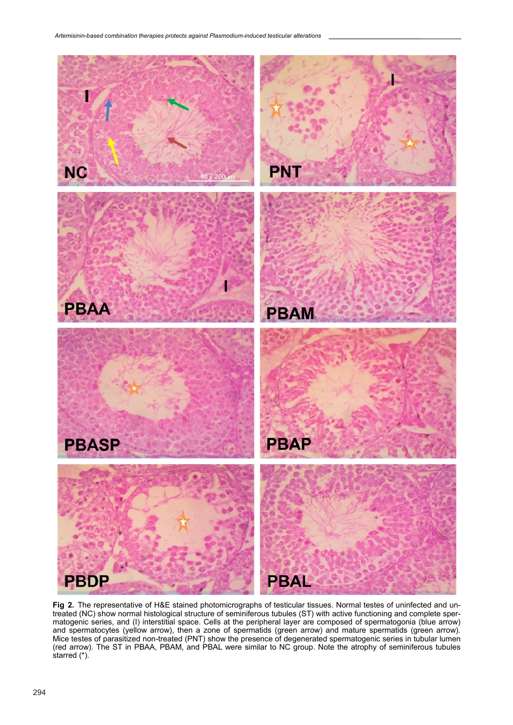

**Fig 2.** The representative of H&E stained photomicrographs of testicular tissues. Normal testes of uninfected and untreated (NC) show normal histological structure of seminiferous tubules (ST) with active functioning and complete spermatogenic series, and (I) interstitial space. Cells at the peripheral layer are composed of spermatogonia (blue arrow) and spermatocytes (yellow arrow), then a zone of spermatids (green arrow) and mature spermatids (green arrow). Mice testes of parasitized non-treated (PNT) show the presence of degenerated spermatogenic series in tubular lumen (red arrow). The ST in PBAA, PBAM, and PBAL were similar to NC group. Note the atrophy of seminiferous tubules starred (\*).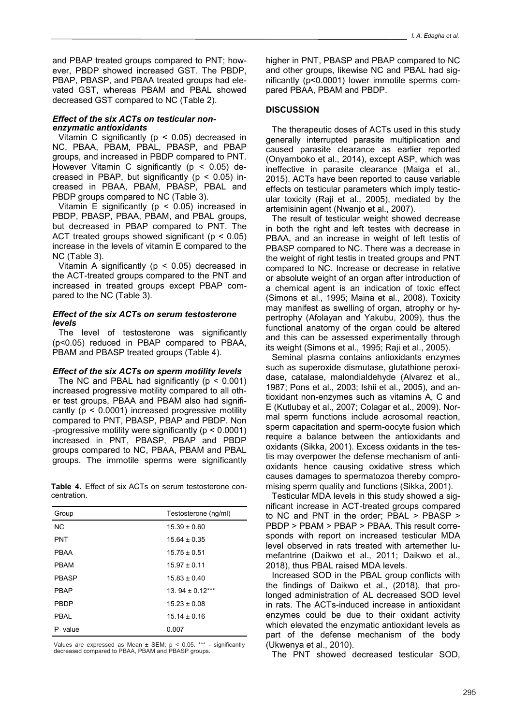and PBAP treated groups compared to PNT; however, PBDP showed increased GST. The PBDP, PBAP, PBASP, and PBAA treated groups had elevated GST, whereas PBAM and PBAL showed decreased GST compared to NC (Table 2).

# *Effect of the six ACTs on testicular nonenzymatic antioxidants*

Vitamin C significantly ( $p < 0.05$ ) decreased in NC, PBAA, PBAM, PBAL, PBASP, and PBAP groups, and increased in PBDP compared to PNT. However Vitamin C significantly ( $p < 0.05$ ) decreased in PBAP, but significantly ( $p < 0.05$ ) increased in PBAA, PBAM, PBASP, PBAL and PBDP groups compared to NC (Table 3).

Vitamin E significantly ( $p < 0.05$ ) increased in PBDP, PBASP, PBAA, PBAM, and PBAL groups, but decreased in PBAP compared to PNT. The ACT treated groups showed significant ( $p < 0.05$ ) increase in the levels of vitamin E compared to the NC (Table 3).

Vitamin A significantly ( $p < 0.05$ ) decreased in the ACT-treated groups compared to the PNT and increased in treated groups except PBAP compared to the NC (Table 3).

## *Effect of the six ACTs on serum testosterone levels*

The level of testosterone was significantly (p<0.05) reduced in PBAP compared to PBAA, PBAM and PBASP treated groups (Table 4).

# *Effect of the six ACTs on sperm motility levels*

The NC and PBAL had significantly  $(p < 0.001)$ increased progressive motility compared to all other test groups, PBAA and PBAM also had significantly ( $p < 0.0001$ ) increased progressive motility compared to PNT, PBASP, PBAP and PBDP. Non -progressive motility were significantly (p < 0.0001) increased in PNT, PBASP, PBAP and PBDP groups compared to NC, PBAA, PBAM and PBAL groups. The immotile sperms were significantly

**Table 4.** Effect of six ACTs on serum testosterone concentration.

| Group        | Testosterone (ng/ml) |
|--------------|----------------------|
| <b>NC</b>    | $15.39 \pm 0.60$     |
| <b>PNT</b>   | $15.64 \pm 0.35$     |
| <b>PBAA</b>  | $15.75 \pm 0.51$     |
| <b>PBAM</b>  | $15.97 + 0.11$       |
| <b>PBASP</b> | $15.83 \pm 0.40$     |
| <b>PBAP</b>  | $13.94 + 0.12***$    |
| <b>PBDP</b>  | $15.23 \pm 0.08$     |
| PBAL         | $1514 + 016$         |
| value<br>Р   | 0.007                |

Values are expressed as Mean ± SEM; p < 0.05. \*\*\* - significantly decreased compared to PBAA, PBAM and PBASP groups.

higher in PNT, PBASP and PBAP compared to NC and other groups, likewise NC and PBAL had significantly (p<0.0001) lower immotile sperms compared PBAA, PBAM and PBDP.

# **DISCUSSION**

The therapeutic doses of ACTs used in this study generally interrupted parasite multiplication and caused parasite clearance as earlier reported (Onyamboko et al., 2014), except ASP, which was ineffective in parasite clearance (Maiga et al., 2015). ACTs have been reported to cause variable effects on testicular parameters which imply testicular toxicity (Raji et al., 2005), mediated by the artemisinin agent (Nwanjo et al., 2007).

The result of testicular weight showed decrease in both the right and left testes with decrease in PBAA, and an increase in weight of left testis of PBASP compared to NC. There was a decrease in the weight of right testis in treated groups and PNT compared to NC. Increase or decrease in relative or absolute weight of an organ after introduction of a chemical agent is an indication of toxic effect (Simons et al., 1995; Maina et al., 2008). Toxicity may manifest as swelling of organ, atrophy or hypertrophy (Afolayan and Yakubu, 2009), thus the functional anatomy of the organ could be altered and this can be assessed experimentally through its weight (Simons et al., 1995; Raji et al., 2005).

Seminal plasma contains antioxidants enzymes such as superoxide dismutase, glutathione peroxidase, catalase, malondialdehyde (Alvarez et al., 1987; Pons et al., 2003; Ishii et al., 2005), and antioxidant non-enzymes such as vitamins A, C and E (Kutlubay et al., 2007; Colagar et al., 2009). Normal sperm functions include acrosomal reaction, sperm capacitation and sperm-oocyte fusion which require a balance between the antioxidants and oxidants (Sikka, 2001). Excess oxidants in the testis may overpower the defense mechanism of antioxidants hence causing oxidative stress which causes damages to spermatozoa thereby compromising sperm quality and functions (Sikka, 2001).

Testicular MDA levels in this study showed a significant increase in ACT-treated groups compared to NC and PNT in the order; PBAL > PBASP > PBDP > PBAM > PBAP > PBAA. This result corresponds with report on increased testicular MDA level observed in rats treated with artemether lumefantrine (Daikwo et al., 2011; Daikwo et al., 2018), thus PBAL raised MDA levels.

Increased SOD in the PBAL group conflicts with the findings of Daikwo et al., (2018), that prolonged administration of AL decreased SOD level in rats. The ACTs-induced increase in antioxidant enzymes could be due to their oxidant activity which elevated the enzymatic antioxidant levels as part of the defense mechanism of the body (Ukwenya et al., 2010).

The PNT showed decreased testicular SOD,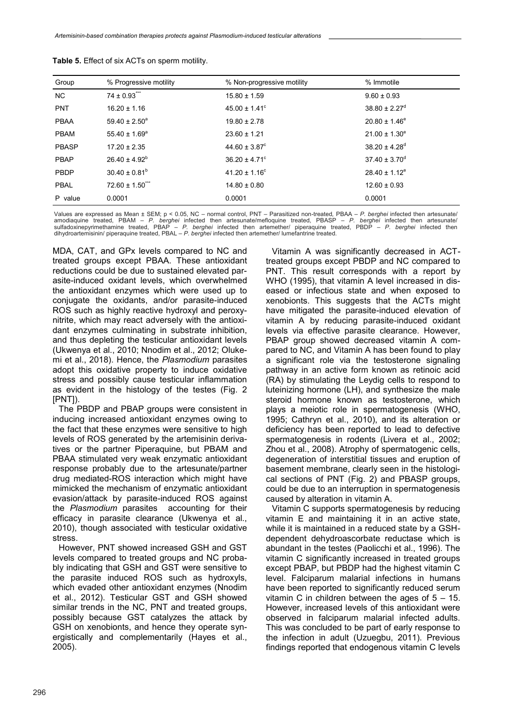| Group        | % Progressive motility | % Non-progressive motility    | % Immotile                    |
|--------------|------------------------|-------------------------------|-------------------------------|
| <b>NC</b>    | $74 \pm 0.93$          | $15.80 \pm 1.59$              | $9.60 \pm 0.93$               |
| <b>PNT</b>   | $16.20 \pm 1.16$       | $45.00 \pm 1.41$ °            | $38.80 \pm 2.27$ <sup>d</sup> |
| <b>PBAA</b>  | $59.40 \pm 2.50^a$     | $19.80 \pm 2.78$              | $20.80 \pm 1.46^e$            |
| <b>PBAM</b>  | 55.40 ± $1.69^a$       | $23.60 \pm 1.21$              | $21.00 \pm 1.30^e$            |
| <b>PBASP</b> | $17.20 \pm 2.35$       | $44.60 \pm 3.87$ <sup>c</sup> | $38.20 \pm 4.28$ <sup>d</sup> |
| <b>PBAP</b>  | $26.40 \pm 4.92^b$     | $36.20 \pm 4.71^{\circ}$      | $37.40 \pm 3.70$ <sup>d</sup> |
| PBDP         | $30.40 \pm 0.81^b$     | $41.20 \pm 1.16^c$            | $28.40 \pm 1.12^e$            |
| <b>PBAL</b>  | $72.60 \pm 1.50$ ***   | $14.80 \pm 0.80$              | $12.60 \pm 0.93$              |
| P value      | 0.0001                 | 0.0001                        | 0.0001                        |

**Table 5.** Effect of six ACTs on sperm motility.

Values are expressed as Mean ± SEM; p < 0.05, NC – normal control, PNT – Parasitized non-treated, PBAA – *P. berghei* infected then artesunate/<br>amodiaquine treated, PBAM – *P. berghei* infected then artesunate/mefloquine t

MDA, CAT, and GPx levels compared to NC and treated groups except PBAA. These antioxidant reductions could be due to sustained elevated parasite-induced oxidant levels, which overwhelmed the antioxidant enzymes which were used up to conjugate the oxidants, and/or parasite-induced ROS such as highly reactive hydroxyl and peroxynitrite, which may react adversely with the antioxidant enzymes culminating in substrate inhibition, and thus depleting the testicular antioxidant levels (Ukwenya et al., 2010; Nnodim et al., 2012; Olukemi et al., 2018). Hence, the *Plasmodium* parasites adopt this oxidative property to induce oxidative stress and possibly cause testicular inflammation as evident in the histology of the testes (Fig. 2 [PNT]).

The PBDP and PBAP groups were consistent in inducing increased antioxidant enzymes owing to the fact that these enzymes were sensitive to high levels of ROS generated by the artemisinin derivatives or the partner Piperaquine, but PBAM and PBAA stimulated very weak enzymatic antioxidant response probably due to the artesunate/partner drug mediated-ROS interaction which might have mimicked the mechanism of enzymatic antioxidant evasion/attack by parasite-induced ROS against the *Plasmodium* parasites accounting for their efficacy in parasite clearance (Ukwenya et al., 2010), though associated with testicular oxidative stress.

However, PNT showed increased GSH and GST levels compared to treated groups and NC probably indicating that GSH and GST were sensitive to the parasite induced ROS such as hydroxyls, which evaded other antioxidant enzymes (Nnodim et al., 2012). Testicular GST and GSH showed similar trends in the NC, PNT and treated groups, possibly because GST catalyzes the attack by GSH on xenobionts, and hence they operate synergistically and complementarily (Hayes et al., 2005).

Vitamin A was significantly decreased in ACTtreated groups except PBDP and NC compared to PNT. This result corresponds with a report by WHO (1995), that vitamin A level increased in diseased or infectious state and when exposed to xenobionts. This suggests that the ACTs might have mitigated the parasite-induced elevation of vitamin A by reducing parasite-induced oxidant levels via effective parasite clearance. However, PBAP group showed decreased vitamin A compared to NC, and Vitamin A has been found to play a significant role via the testosterone signaling pathway in an active form known as retinoic acid (RA) by stimulating the Leydig cells to respond to luteinizing hormone (LH), and synthesize the male steroid hormone known as testosterone, which plays a meiotic role in spermatogenesis (WHO, 1995; Cathryn et al., 2010), and its alteration or deficiency has been reported to lead to defective spermatogenesis in rodents (Livera et al., 2002; Zhou et al., 2008). Atrophy of spermatogenic cells, degeneration of interstitial tissues and eruption of basement membrane, clearly seen in the histological sections of PNT (Fig. 2) and PBASP groups, could be due to an interruption in spermatogenesis caused by alteration in vitamin A.

Vitamin C supports spermatogenesis by reducing vitamin E and maintaining it in an active state, while it is maintained in a reduced state by a GSHdependent dehydroascorbate reductase which is abundant in the testes (Paolicchi et al., 1996). The vitamin C significantly increased in treated groups except PBAP, but PBDP had the highest vitamin C level. Falciparum malarial infections in humans have been reported to significantly reduced serum vitamin C in children between the ages of  $5 - 15$ . However, increased levels of this antioxidant were observed in falciparum malarial infected adults. This was concluded to be part of early response to the infection in adult (Uzuegbu, 2011). Previous findings reported that endogenous vitamin C levels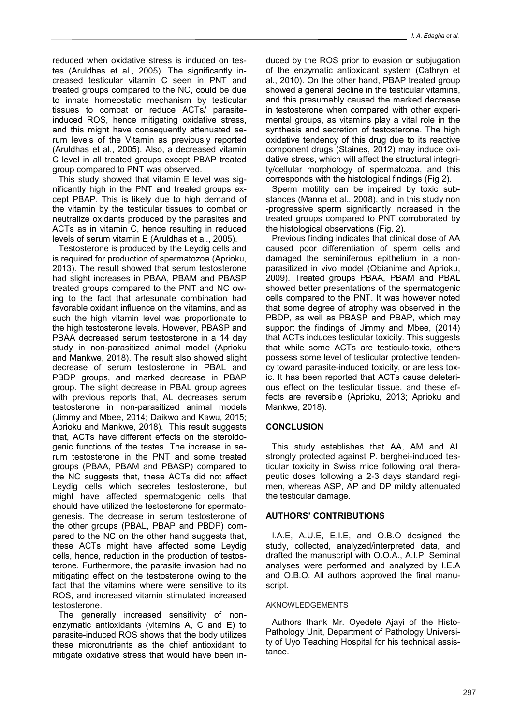reduced when oxidative stress is induced on testes (Aruldhas et al., 2005). The significantly increased testicular vitamin C seen in PNT and treated groups compared to the NC, could be due to innate homeostatic mechanism by testicular tissues to combat or reduce ACTs/ parasiteinduced ROS, hence mitigating oxidative stress, and this might have consequently attenuated serum levels of the Vitamin as previously reported (Aruldhas et al., 2005). Also, a decreased vitamin C level in all treated groups except PBAP treated group compared to PNT was observed.

This study showed that vitamin E level was significantly high in the PNT and treated groups except PBAP. This is likely due to high demand of the vitamin by the testicular tissues to combat or neutralize oxidants produced by the parasites and ACTs as in vitamin C, hence resulting in reduced levels of serum vitamin E (Aruldhas et al., 2005).

Testosterone is produced by the Leydig cells and is required for production of spermatozoa (Aprioku, 2013). The result showed that serum testosterone had slight increases in PBAA, PBAM and PBASP treated groups compared to the PNT and NC owing to the fact that artesunate combination had favorable oxidant influence on the vitamins, and as such the high vitamin level was proportionate to the high testosterone levels. However, PBASP and PBAA decreased serum testosterone in a 14 day study in non-parasitized animal model (Aprioku and Mankwe, 2018). The result also showed slight decrease of serum testosterone in PBAL and PBDP groups, and marked decrease in PBAP group. The slight decrease in PBAL group agrees with previous reports that, AL decreases serum testosterone in non-parasitized animal models (Jimmy and Mbee, 2014; Daikwo and Kawu, 2015; Aprioku and Mankwe, 2018). This result suggests that, ACTs have different effects on the steroidogenic functions of the testes. The increase in serum testosterone in the PNT and some treated groups (PBAA, PBAM and PBASP) compared to the NC suggests that, these ACTs did not affect Leydig cells which secretes testosterone, but might have affected spermatogenic cells that should have utilized the testosterone for spermatogenesis. The decrease in serum testosterone of the other groups (PBAL, PBAP and PBDP) compared to the NC on the other hand suggests that, these ACTs might have affected some Leydig cells, hence, reduction in the production of testosterone. Furthermore, the parasite invasion had no mitigating effect on the testosterone owing to the fact that the vitamins where were sensitive to its ROS, and increased vitamin stimulated increased testosterone.

The generally increased sensitivity of nonenzymatic antioxidants (vitamins A, C and E) to parasite-induced ROS shows that the body utilizes these micronutrients as the chief antioxidant to mitigate oxidative stress that would have been induced by the ROS prior to evasion or subjugation of the enzymatic antioxidant system (Cathryn et al., 2010). On the other hand, PBAP treated group showed a general decline in the testicular vitamins, and this presumably caused the marked decrease in testosterone when compared with other experimental groups, as vitamins play a vital role in the synthesis and secretion of testosterone. The high oxidative tendency of this drug due to its reactive component drugs (Staines, 2012) may induce oxidative stress, which will affect the structural integrity/cellular morphology of spermatozoa, and this corresponds with the histological findings (Fig 2).

Sperm motility can be impaired by toxic substances (Manna et al., 2008), and in this study non -progressive sperm significantly increased in the treated groups compared to PNT corroborated by the histological observations (Fig. 2).

Previous finding indicates that clinical dose of AA caused poor differentiation of sperm cells and damaged the seminiferous epithelium in a nonparasitized in vivo model (Obianime and Aprioku, 2009). Treated groups PBAA, PBAM and PBAL showed better presentations of the spermatogenic cells compared to the PNT. It was however noted that some degree of atrophy was observed in the PBDP, as well as PBASP and PBAP, which may support the findings of Jimmy and Mbee, (2014) that ACTs induces testicular toxicity. This suggests that while some ACTs are testiculo-toxic, others possess some level of testicular protective tendency toward parasite-induced toxicity, or are less toxic. It has been reported that ACTs cause deleterious effect on the testicular tissue, and these effects are reversible (Aprioku, 2013; Aprioku and Mankwe, 2018).

# **CONCLUSION**

This study establishes that AA, AM and AL strongly protected against P. berghei-induced testicular toxicity in Swiss mice following oral therapeutic doses following a 2-3 days standard regimen, whereas ASP, AP and DP mildly attenuated the testicular damage.

# **AUTHORS' CONTRIBUTIONS**

I.A.E, A.U.E, E.I.E, and O.B.O designed the study, collected, analyzed/interpreted data, and drafted the manuscript with O.O.A., A.I.P. Seminal analyses were performed and analyzed by I.E.A and O.B.O. All authors approved the final manuscript.

# AKNOWLEDGEMENTS

Authors thank Mr. Oyedele Ajayi of the Histo-Pathology Unit, Department of Pathology University of Uyo Teaching Hospital for his technical assistance.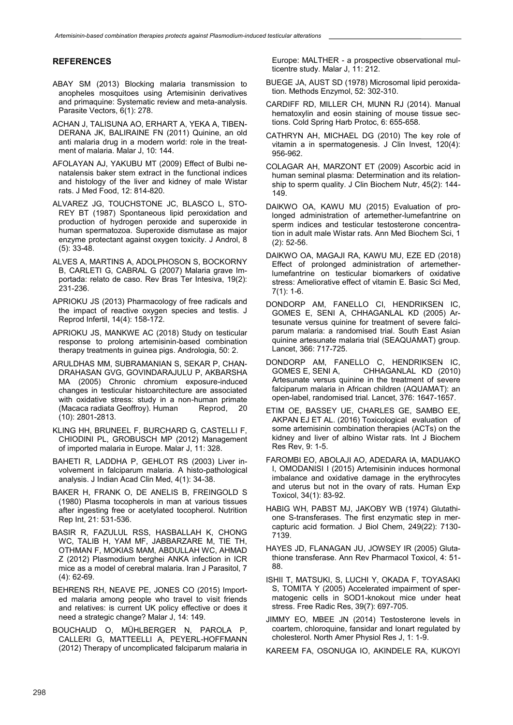# **REFERENCES**

- ABAY SM (2013) Blocking malaria transmission to anopheles mosquitoes using Artemisinin derivatives and primaquine: Systematic review and meta-analysis. Parasite Vectors, 6(1): 278.
- ACHAN J, TALISUNA AO, ERHART A, YEKA A, TIBEN-DERANA JK, BALIRAINE FN (2011) Quinine, an old anti malaria drug in a modern world: role in the treatment of malaria. Malar J, 10: 144.
- AFOLAYAN AJ, YAKUBU MT (2009) Effect of Bulbi nenatalensis baker stem extract in the functional indices and histology of the liver and kidney of male Wistar rats. J Med Food, 12: 814-820.
- ALVAREZ JG, TOUCHSTONE JC, BLASCO L, STO-REY BT (1987) Spontaneous lipid peroxidation and production of hydrogen peroxide and superoxide in human spermatozoa. Superoxide dismutase as major enzyme protectant against oxygen toxicity. J Androl, 8 (5): 33-48.
- ALVES A, MARTINS A, ADOLPHOSON S, BOCKORNY B, CARLETI G, CABRAL G (2007) Malaria grave Importada: relato de caso. Rev Bras Ter Intesiva, 19(2): 231-236.
- APRIOKU JS (2013) Pharmacology of free radicals and the impact of reactive oxygen species and testis. J Reprod Infertil, 14(4): 158-172.
- APRIOKU JS, MANKWE AC (2018) Study on testicular response to prolong artemisinin-based combination therapy treatments in guinea pigs. Andrologia, 50: 2.
- ARULDHAS MM, SUBRAMANIAN S, SEKAR P, CHAN-DRAHASAN GVG, GOVINDARAJULU P, AKBARSHA MA (2005) Chronic chromium exposure-induced changes in testicular histoarchitecture are associated with oxidative stress: study in a non-human primate (Macaca radiata Geoffroy). Human Reprod, 20 (10): 2801-2813.
- KLING HH, BRUNEEL F, BURCHARD G, CASTELLI F, CHIODINI PL, GROBUSCH MP (2012) Management of imported malaria in Europe. Malar J, 11: 328.
- BAHETI R, LADDHA P, GEHLOT RS (2003) Liver involvement in falciparum malaria. A histo-pathological analysis. J Indian Acad Clin Med, 4(1): 34-38.
- BAKER H, FRANK O, DE ANELIS B, FREINGOLD S (1980) Plasma tocopherols in man at various tissues after ingesting free or acetylated tocopherol. Nutrition Rep Int, 21: 531-536.
- BASIR R, FAZULUL RSS, HASBALLAH K, CHONG WC, TALIB H, YAM MF, JABBARZARE M, TIE TH, OTHMAN F, MOKIAS MAM, ABDULLAH WC, AHMAD Z (2012) Plasmodium berghei ANKA infection in ICR mice as a model of cerebral malaria. Iran J Parasitol, 7 (4): 62-69.
- BEHRENS RH, NEAVE PE, JONES CO (2015) Imported malaria among people who travel to visit friends and relatives: is current UK policy effective or does it need a strategic change? Malar J, 14: 149.
- BOUCHAUD O, MÜHLBERGER N, PAROLA P, CALLERI G, MATTEELLI A, PEYERL-HOFFMANN (2012) Therapy of uncomplicated falciparum malaria in

Europe: MALTHER - a prospective observational multicentre study. Malar J, 11: 212.

- BUEGE JA, AUST SD (1978) Microsomal lipid peroxidation. Methods Enzymol, 52: 302-310.
- CARDIFF RD, MILLER CH, MUNN RJ (2014). Manual hematoxylin and eosin staining of mouse tissue sections. Cold Spring Harb Protoc, 6: 655-658.
- CATHRYN AH, MICHAEL DG (2010) The key role of vitamin a in spermatogenesis. J Clin Invest, 120(4): 956-962.
- COLAGAR AH, MARZONT ET (2009) Ascorbic acid in human seminal plasma: Determination and its relationship to sperm quality. J Clin Biochem Nutr, 45(2): 144- 149.
- DAIKWO OA, KAWU MU (2015) Evaluation of prolonged administration of artemether-lumefantrine on sperm indices and testicular testosterone concentration in adult male Wistar rats. Ann Med Biochem Sci, 1 (2): 52-56.
- DAIKWO OA, MAGAJI RA, KAWU MU, EZE ED (2018) Effect of prolonged administration of artemetherlumefantrine on testicular biomarkers of oxidative stress: Ameliorative effect of vitamin E. Basic Sci Med, 7(1): 1-6.
- DONDORP AM, FANELLO CI, HENDRIKSEN IC, GOMES E, SENI A, CHHAGANLAL KD (2005) Artesunate versus quinine for treatment of severe falciparum malaria: a randomised trial. South East Asian quinine artesunate malaria trial (SEAQUAMAT) group. Lancet, 366: 717-725.
- DONDORP AM, FANELLO C, HENDRIKSEN IC, GOMES E, SENI A, CHHAGANLAL KD (2010) Artesunate versus quinine in the treatment of severe falciparum malaria in African children (AQUAMAT): an open-label, randomised trial. Lancet, 376: 1647-1657.
- ETIM OE, BASSEY UE, CHARLES GE, SAMBO EE, AKPAN EJ ET AL. (2016) Toxicological evaluation of some artemisinin combination therapies (ACTs) on the kidney and liver of albino Wistar rats. Int J Biochem Res Rev, 9: 1-5.
- FAROMBI EO, ABOLAJI AO, ADEDARA IA, MADUAKO I, OMODANISI I (2015) Artemisinin induces hormonal imbalance and oxidative damage in the erythrocytes and uterus but not in the ovary of rats. Human Exp Toxicol, 34(1): 83-92.
- HABIG WH, PABST MJ, JAKOBY WB (1974) Glutathione S-transferases. The first enzymatic step in mercapturic acid formation. J Biol Chem, 249(22): 7130- 7139.
- HAYES JD, FLANAGAN JU, JOWSEY IR (2005) Glutathione transferase. Ann Rev Pharmacol Toxicol, 4: 51- 88.
- ISHII T, MATSUKI, S, LUCHI Y, OKADA F, TOYASAKI S, TOMITA Y (2005) Accelerated impairment of spermatogenic cells in SOD1-knokout mice under heat stress. Free Radic Res, 39(7): 697-705.
- JIMMY EO, MBEE JN (2014) Testosterone levels in coartem, chloroquine, fansidar and lonart regulated by cholesterol. North Amer Physiol Res J, 1: 1-9.
- KAREEM FA, OSONUGA IO, AKINDELE RA, KUKOYI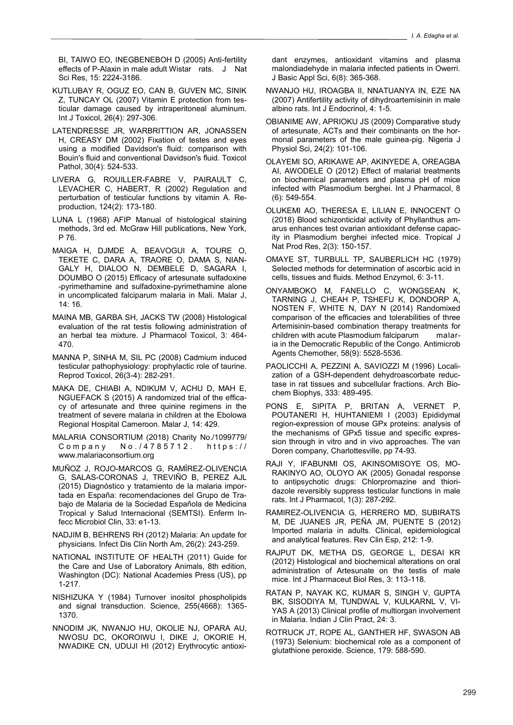BI, TAIWO EO, INEGBENEBOH D (2005) Anti-fertility effects of P-Alaxin in male adult Wistar rats. J Nat Sci Res, 15: 2224-3186.

- KUTLUBAY R, OGUZ EO, CAN B, GUVEN MC, SINIK Z, TUNCAY OL (2007) Vitamin E protection from testicular damage caused by intraperitoneal aluminum. Int J Toxicol, 26(4): 297-306.
- LATENDRESSE JR, WARBRITTION AR, JONASSEN H, CREASY DM (2002) Fixation of testes and eyes using a modified Davidson's fluid: comparison with Bouin's fluid and conventional Davidson's fluid. Toxicol Pathol, 30(4): 524-533.
- LIVERA G, ROUILLER-FABRE V, PAIRAULT C, LEVACHER C, HABERT, R (2002) Regulation and perturbation of testicular functions by vitamin A. Reproduction, 124(2): 173-180.
- LUNA L (1968) AFIP Manual of histological staining methods, 3rd ed. McGraw Hill publications, New York, P 76.
- MAIGA H, DJMDE A, BEAVOGUI A, TOURE O, TEKETE C, DARA A, TRAORE O, DAMA S, NIAN-GALY H, DIALOO N, DEMBELE D, SAGARA I, DOUMBO O (2015) Efficacy of artesunate sulfadoxine -pyrimethamine and sulfadoxine-pyrimethamine alone in uncomplicated falciparum malaria in Mali. Malar J, 14: 16.
- MAINA MB, GARBA SH, JACKS TW (2008) Histological evaluation of the rat testis following administration of an herbal tea mixture. J Pharmacol Toxicol, 3: 464- 470.
- MANNA P, SINHA M, SIL PC (2008) Cadmium induced testicular pathophysiology: prophylactic role of taurine. Reprod Toxicol, 26(3-4): 282-291.
- MAKA DE, CHIABI A, NDIKUM V, ACHU D, MAH E, NGUEFACK S (2015) A randomized trial of the efficacy of artesunate and three quinine regimens in the treatment of severe malaria in children at the Ebolowa Regional Hospital Cameroon. Malar J, 14: 429.
- MALARIA CONSORTIUM (2018) Charity No./1099779/ Company No./4785712. https:// www.malariaconsortium.org
- MUÑOZ J, ROJO-MARCOS G, RAMÍREZ-OLIVENCIA G, SALAS-CORONAS J, TREVIÑO B, PEREZ AJL (2015) Diagnóstico y tratamiento de la malaria importada en España: recomendaciones del Grupo de Trabajo de Malaria de la Sociedad Española de Medicina Tropical y Salud Internacional (SEMTSI). Enferm Infecc Microbiol Clin, 33: e1-13.
- NADJIM B, BEHRENS RH (2012) Malaria: An update for physicians. Infect Dis Clin North Am, 26(2): 243-259.
- NATIONAL INSTITUTE OF HEALTH (2011) Guide for the Care and Use of Laboratory Animals, 8th edition, Washington (DC): National Academies Press (US), pp 1-217.
- NISHIZUKA Y (1984) Turnover inositol phospholipids and signal transduction. Science, 255(4668): 1365- 1370.
- NNODIM JK, NWANJO HU, OKOLIE NJ, OPARA AU, NWOSU DC, OKOROIWU I, DIKE J, OKORIE H, NWADIKE CN, UDUJI HI (2012) Erythrocytic antioxi-

dant enzymes, antioxidant vitamins and plasma malondiadehyde in malaria infected patients in Owerri. J Basic Appl Sci, 6(8): 365-368.

- NWANJO HU, IROAGBA II, NNATUANYA IN, EZE NA (2007) Antifertility activity of dihydroartemisinin in male albino rats. Int J Endocrinol, 4: 1-5.
- OBIANIME AW, APRIOKU JS (2009) Comparative study of artesunate, ACTs and their combinants on the hormonal parameters of the male guinea-pig. Nigeria J Physiol Sci, 24(2): 101-106.
- OLAYEMI SO, ARIKAWE AP, AKINYEDE A, OREAGBA AI, AWODELE O (2012) Effect of malarial treatments on biochemical parameters and plasma pH of mice infected with Plasmodium berghei. Int J Pharmacol, 8 (6): 549-554.
- OLUKEMI AO, THERESA E, LILIAN E, INNOCENT O (2018) Blood schizonticidal activity of Phyllanthus amarus enhances test ovarian antioxidant defense capacity in Plasmodium berghei infected mice. Tropical J Nat Prod Res, 2(3): 150-157.
- OMAYE ST, TURBULL TP, SAUBERLICH HC (1979) Selected methods for determination of ascorbic acid in cells, tissues and fluids. Method Enzymol, 6: 3-11.
- ONYAMBOKO M, FANELLO C, WONGSEAN K, TARNING J, CHEAH P, TSHEFU K, DONDORP A, NOSTEN F, WHITE N, DAY N (2014) Randomixed comparison of the efficacies and tolerabilities of three Artemisinin-based combination therapy treatments for children with acute Plasmodium falciparum malaria in the Democratic Republic of the Congo. Antimicrob Agents Chemother, 58(9): 5528-5536.
- PAOLICCHI A, PEZZINI A, SAVIOZZI M (1996) Localization of a GSH-dependent dehydroascorbate reductase in rat tissues and subcellular fractions. Arch Biochem Biophys, 333: 489-495.
- PONS E, SIPITA P, BRITAN A, VERNET P, POUTANERI H, HUHTANIEMI I (2003) Epididymal region-expression of mouse GPx proteins: analysis of the mechanisms of GPx5 tissue and specific expression through in vitro and in vivo approaches. The van Doren company, Charlottesville, pp 74-93.
- RAJI Y, IFABUNMI OS, AKINSOMISOYE OS, MO-RAKINYO AO, OLOYO AK (2005) Gonadal response to antipsychotic drugs: Chlorpromazine and thioridazole reversibly suppress testicular functions in male rats. Int J Pharmacol, 1(3): 287-292.
- RAMIREZ-OLIVENCIA G, HERRERO MD, SUBIRATS M, DE JUANES JR, PEÑA JM, PUENTE S (2012) Imported malaria in adults. Clinical, epidemiological and analytical features. Rev Clin Esp, 212: 1-9.
- RAJPUT DK, METHA DS, GEORGE L, DESAI KR (2012) Histological and biochemical alterations on oral administration of Artesunate on the testis of male mice. Int J Pharmaceut Biol Res, 3: 113-118.
- RATAN P, NAYAK KC, KUMAR S, SINGH V, GUPTA BK, SISODIYA M, TUNDWAL V, KULKARNL V, VI-YAS A (2013) Clinical profile of multiorgan involvement in Malaria. Indian J Clin Pract, 24: 3.
- ROTRUCK JT, ROPE AL, GANTHER HF, SWASON AB (1973) Selenium: biochemical role as a component of glutathione peroxide. Science, 179: 588-590.